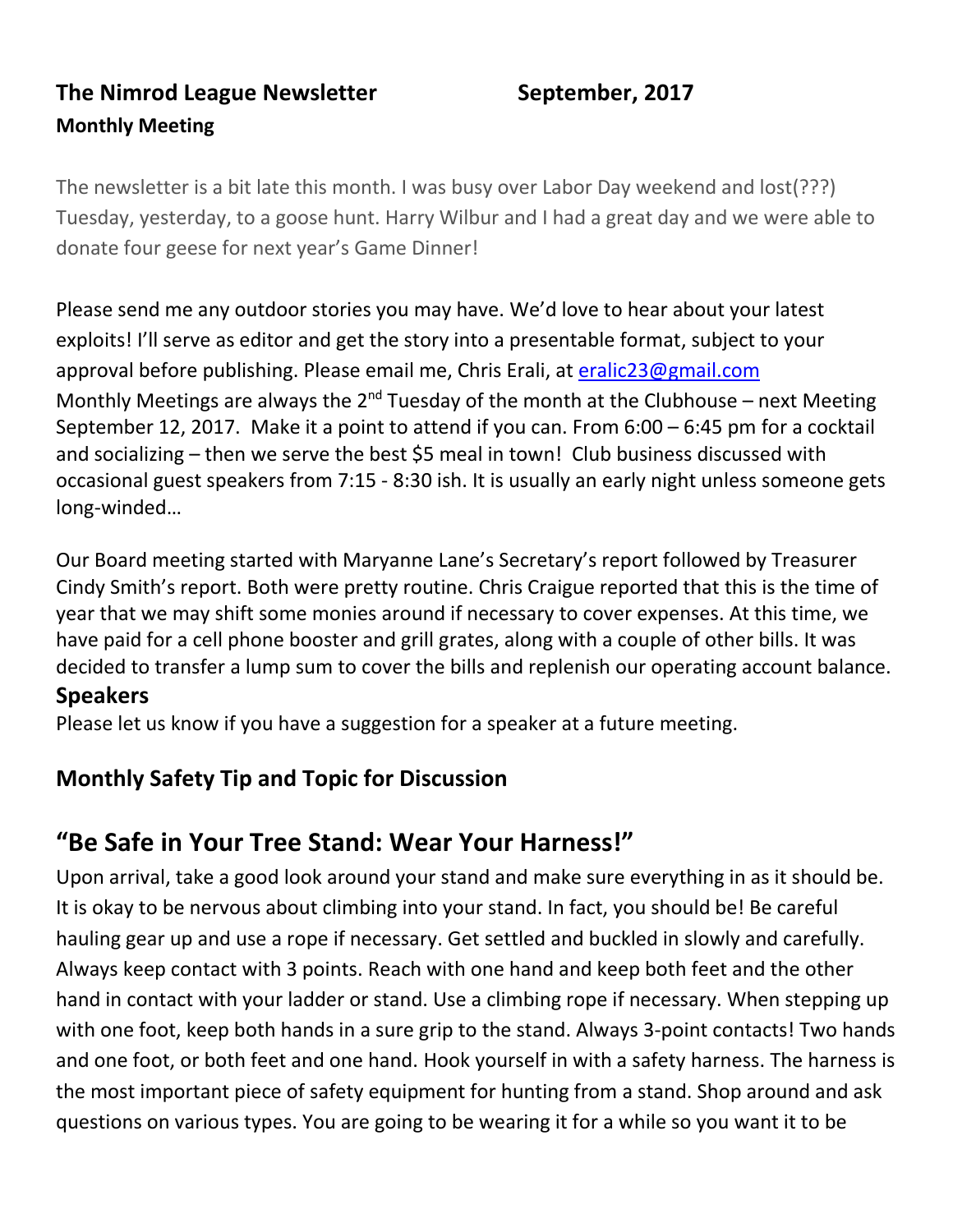# **The Nimrod League Newsletter September, 2017 Monthly Meeting**

The newsletter is a bit late this month. I was busy over Labor Day weekend and lost(???) Tuesday, yesterday, to a goose hunt. Harry Wilbur and I had a great day and we were able to donate four geese for next year's Game Dinner!

Please send me any outdoor stories you may have. We'd love to hear about your latest exploits! I'll serve as editor and get the story into a presentable format, subject to your approval before publishing. Please email me, Chris Erali, at [eralic23@gmail.com](mailto:eralic23@gmail.com) Monthly Meetings are always the  $2^{nd}$  Tuesday of the month at the Clubhouse – next Meeting September 12, 2017. Make it a point to attend if you can. From 6:00 – 6:45 pm for a cocktail and socializing – then we serve the best \$5 meal in town! Club business discussed with occasional guest speakers from 7:15 - 8:30 ish. It is usually an early night unless someone gets long-winded…

Our Board meeting started with Maryanne Lane's Secretary's report followed by Treasurer Cindy Smith's report. Both were pretty routine. Chris Craigue reported that this is the time of year that we may shift some monies around if necessary to cover expenses. At this time, we have paid for a cell phone booster and grill grates, along with a couple of other bills. It was decided to transfer a lump sum to cover the bills and replenish our operating account balance.

#### **Speakers**

Please let us know if you have a suggestion for a speaker at a future meeting.

# **Monthly Safety Tip and Topic for Discussion**

# **"Be Safe in Your Tree Stand: Wear Your Harness!"**

Upon arrival, take a good look around your stand and make sure everything in as it should be. It is okay to be nervous about climbing into your stand. In fact, you should be! Be careful hauling gear up and use a rope if necessary. Get settled and buckled in slowly and carefully. Always keep contact with 3 points. Reach with one hand and keep both feet and the other hand in contact with your ladder or stand. Use a climbing rope if necessary. When stepping up with one foot, keep both hands in a sure grip to the stand. Always 3-point contacts! Two hands and one foot, or both feet and one hand. Hook yourself in with a safety harness. The harness is the most important piece of safety equipment for hunting from a stand. Shop around and ask questions on various types. You are going to be wearing it for a while so you want it to be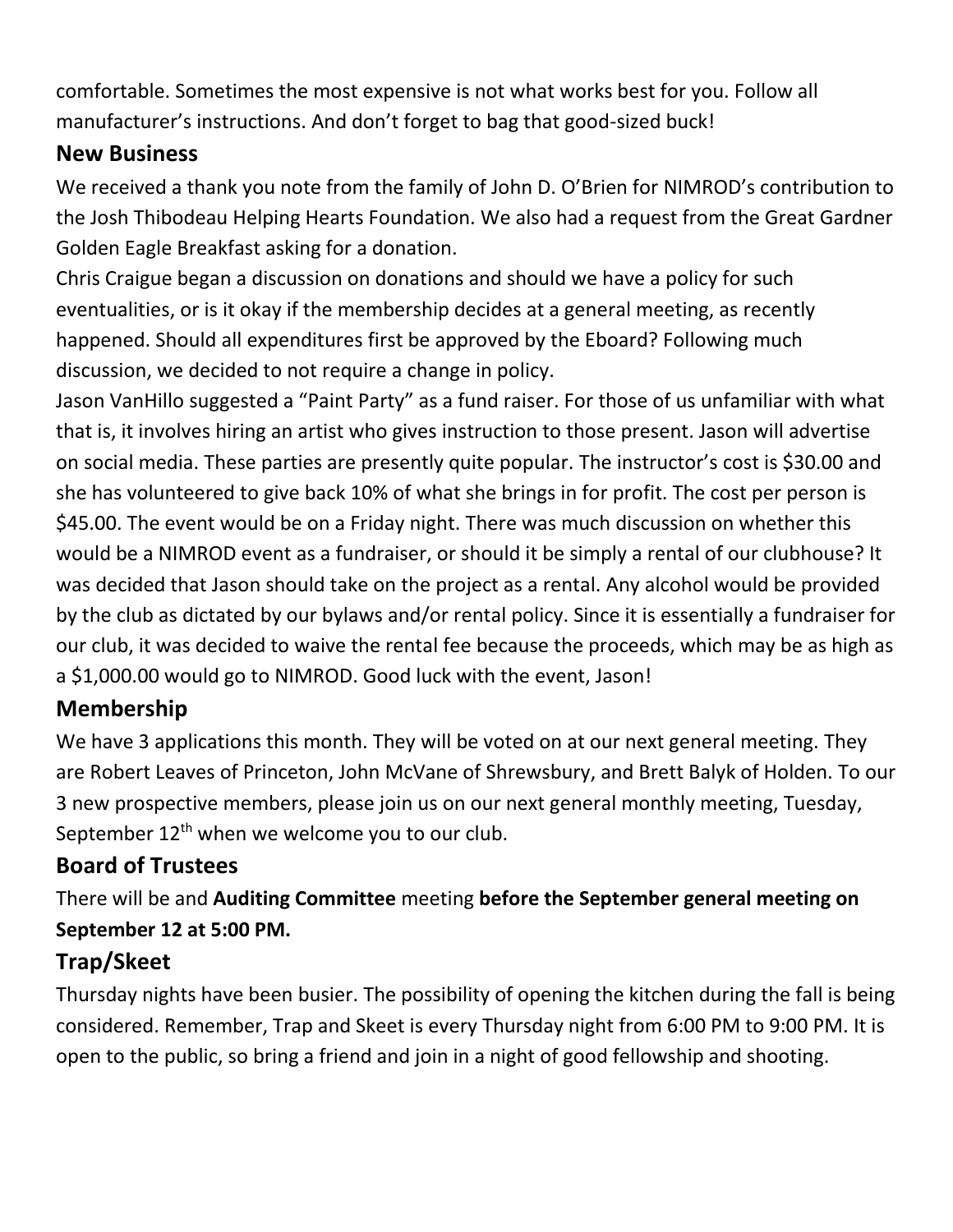comfortable. Sometimes the most expensive is not what works best for you. Follow all manufacturer's instructions. And don't forget to bag that good-sized buck!

### **New Business**

We received a thank you note from the family of John D. O'Brien for NIMROD's contribution to the Josh Thibodeau Helping Hearts Foundation. We also had a request from the Great Gardner Golden Eagle Breakfast asking for a donation.

Chris Craigue began a discussion on donations and should we have a policy for such eventualities, or is it okay if the membership decides at a general meeting, as recently happened. Should all expenditures first be approved by the Eboard? Following much discussion, we decided to not require a change in policy.

Jason VanHillo suggested a "Paint Party" as a fund raiser. For those of us unfamiliar with what that is, it involves hiring an artist who gives instruction to those present. Jason will advertise on social media. These parties are presently quite popular. The instructor's cost is \$30.00 and she has volunteered to give back 10% of what she brings in for profit. The cost per person is \$45.00. The event would be on a Friday night. There was much discussion on whether this would be a NIMROD event as a fundraiser, or should it be simply a rental of our clubhouse? It was decided that Jason should take on the project as a rental. Any alcohol would be provided by the club as dictated by our bylaws and/or rental policy. Since it is essentially a fundraiser for our club, it was decided to waive the rental fee because the proceeds, which may be as high as a \$1,000.00 would go to NIMROD. Good luck with the event, Jason!

# **Membership**

We have 3 applications this month. They will be voted on at our next general meeting. They are Robert Leaves of Princeton, John McVane of Shrewsbury, and Brett Balyk of Holden. To our 3 new prospective members, please join us on our next general monthly meeting, Tuesday, September  $12<sup>th</sup>$  when we welcome you to our club.

# **Board of Trustees**

There will be and **Auditing Committee** meeting **before the September general meeting on September 12 at 5:00 PM.**

# **Trap/Skeet**

Thursday nights have been busier. The possibility of opening the kitchen during the fall is being considered. Remember, Trap and Skeet is every Thursday night from 6:00 PM to 9:00 PM. It is open to the public, so bring a friend and join in a night of good fellowship and shooting.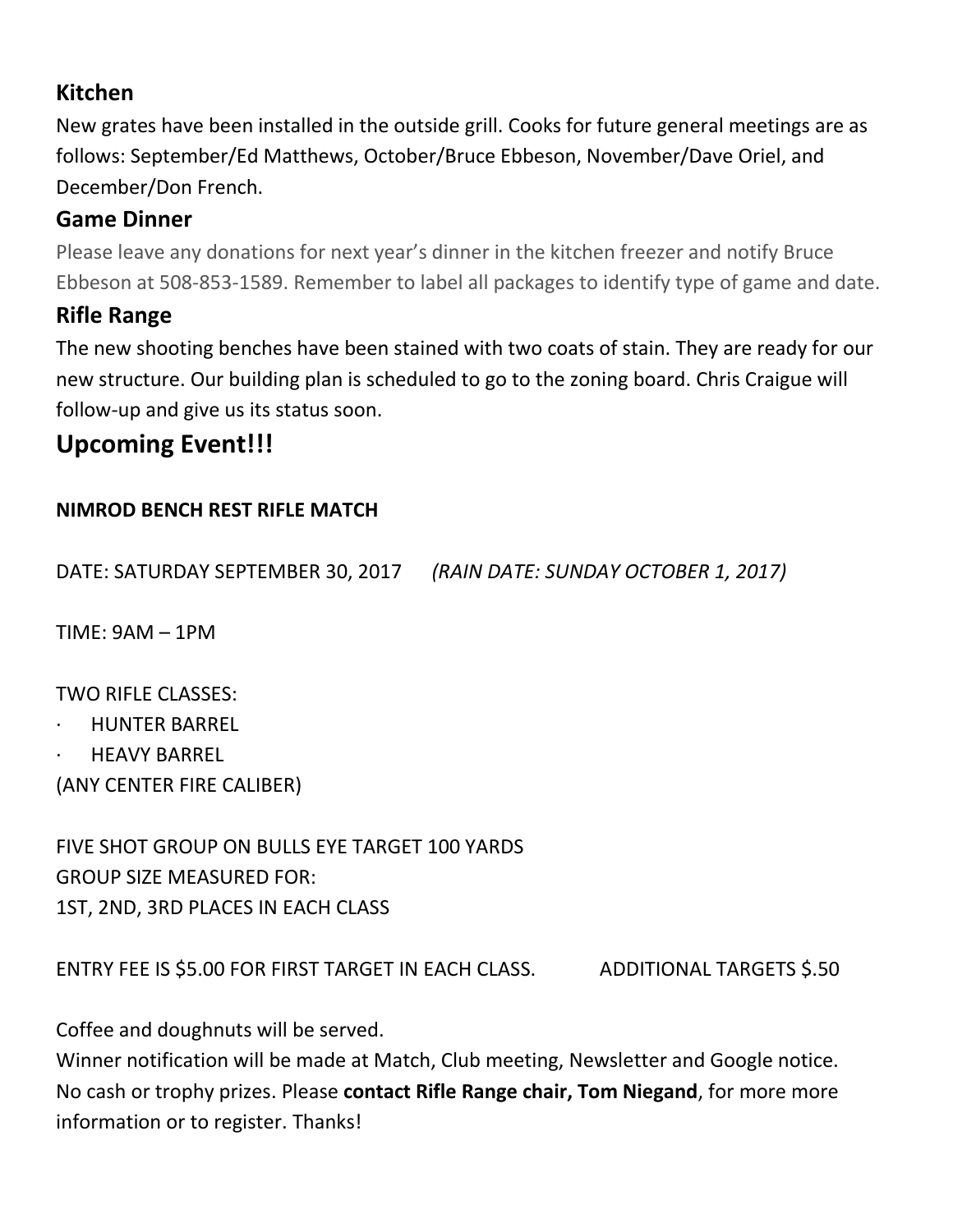### **Kitchen**

New grates have been installed in the outside grill. Cooks for future general meetings are as follows: September/Ed Matthews, October/Bruce Ebbeson, November/Dave Oriel, and December/Don French.

## **Game Dinner**

Please leave any donations for next year's dinner in the kitchen freezer and notify Bruce Ebbeson at 508-853-1589. Remember to label all packages to identify type of game and date.

# **Rifle Range**

The new shooting benches have been stained with two coats of stain. They are ready for our new structure. Our building plan is scheduled to go to the zoning board. Chris Craigue will follow-up and give us its status soon.

# **Upcoming Event!!!**

#### **NIMROD BENCH REST RIFLE MATCH**

DATE: SATURDAY SEPTEMBER 30, 2017 *(RAIN DATE: SUNDAY OCTOBER 1, 2017)*

TIME: 9AM – 1PM

TWO RIFLE CLASSES:

- · HUNTER BARREL
- **HEAVY BARREL**

(ANY CENTER FIRE CALIBER)

FIVE SHOT GROUP ON BULLS EYE TARGET 100 YARDS GROUP SIZE MEASURED FOR: 1ST, 2ND, 3RD PLACES IN EACH CLASS

ENTRY FEE IS \$5.00 FOR FIRST TARGET IN EACH CLASS. ADDITIONAL TARGETS \$.50

Coffee and doughnuts will be served.

Winner notification will be made at Match, Club meeting, Newsletter and Google notice. No cash or trophy prizes. Please **contact Rifle Range chair, Tom Niegand**, for more more information or to register. Thanks!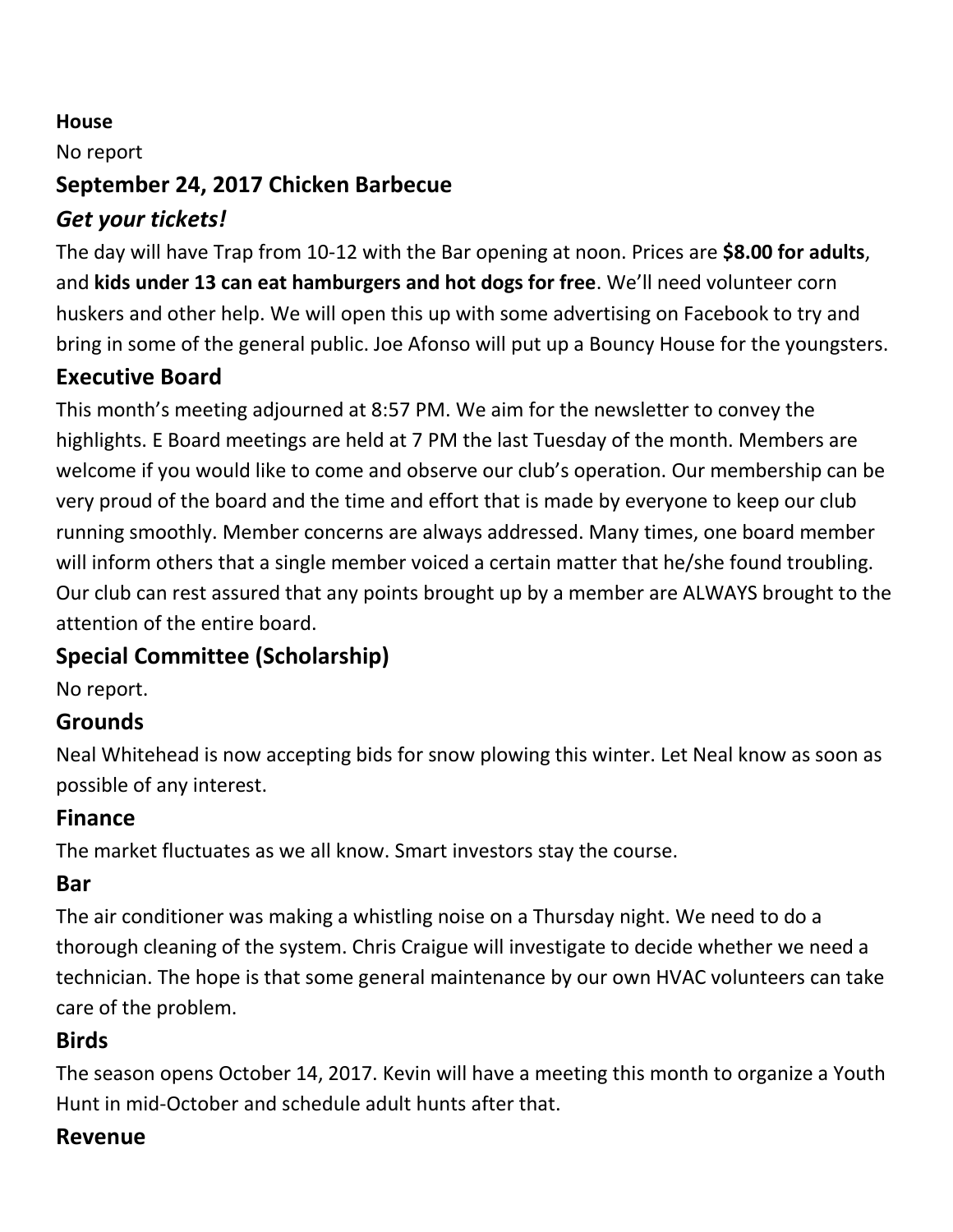#### **House**

No report

#### **September 24, 2017 Chicken Barbecue**

### *Get your tickets!*

The day will have Trap from 10-12 with the Bar opening at noon. Prices are **\$8.00 for adults**, and **kids under 13 can eat hamburgers and hot dogs for free**. We'll need volunteer corn huskers and other help. We will open this up with some advertising on Facebook to try and bring in some of the general public. Joe Afonso will put up a Bouncy House for the youngsters.

## **Executive Board**

This month's meeting adjourned at 8:57 PM. We aim for the newsletter to convey the highlights. E Board meetings are held at 7 PM the last Tuesday of the month. Members are welcome if you would like to come and observe our club's operation. Our membership can be very proud of the board and the time and effort that is made by everyone to keep our club running smoothly. Member concerns are always addressed. Many times, one board member will inform others that a single member voiced a certain matter that he/she found troubling. Our club can rest assured that any points brought up by a member are ALWAYS brought to the attention of the entire board.

# **Special Committee (Scholarship)**

No report.

#### **Grounds**

Neal Whitehead is now accepting bids for snow plowing this winter. Let Neal know as soon as possible of any interest.

### **Finance**

The market fluctuates as we all know. Smart investors stay the course.

#### **Bar**

The air conditioner was making a whistling noise on a Thursday night. We need to do a thorough cleaning of the system. Chris Craigue will investigate to decide whether we need a technician. The hope is that some general maintenance by our own HVAC volunteers can take care of the problem.

### **Birds**

The season opens October 14, 2017. Kevin will have a meeting this month to organize a Youth Hunt in mid-October and schedule adult hunts after that.

### **Revenue**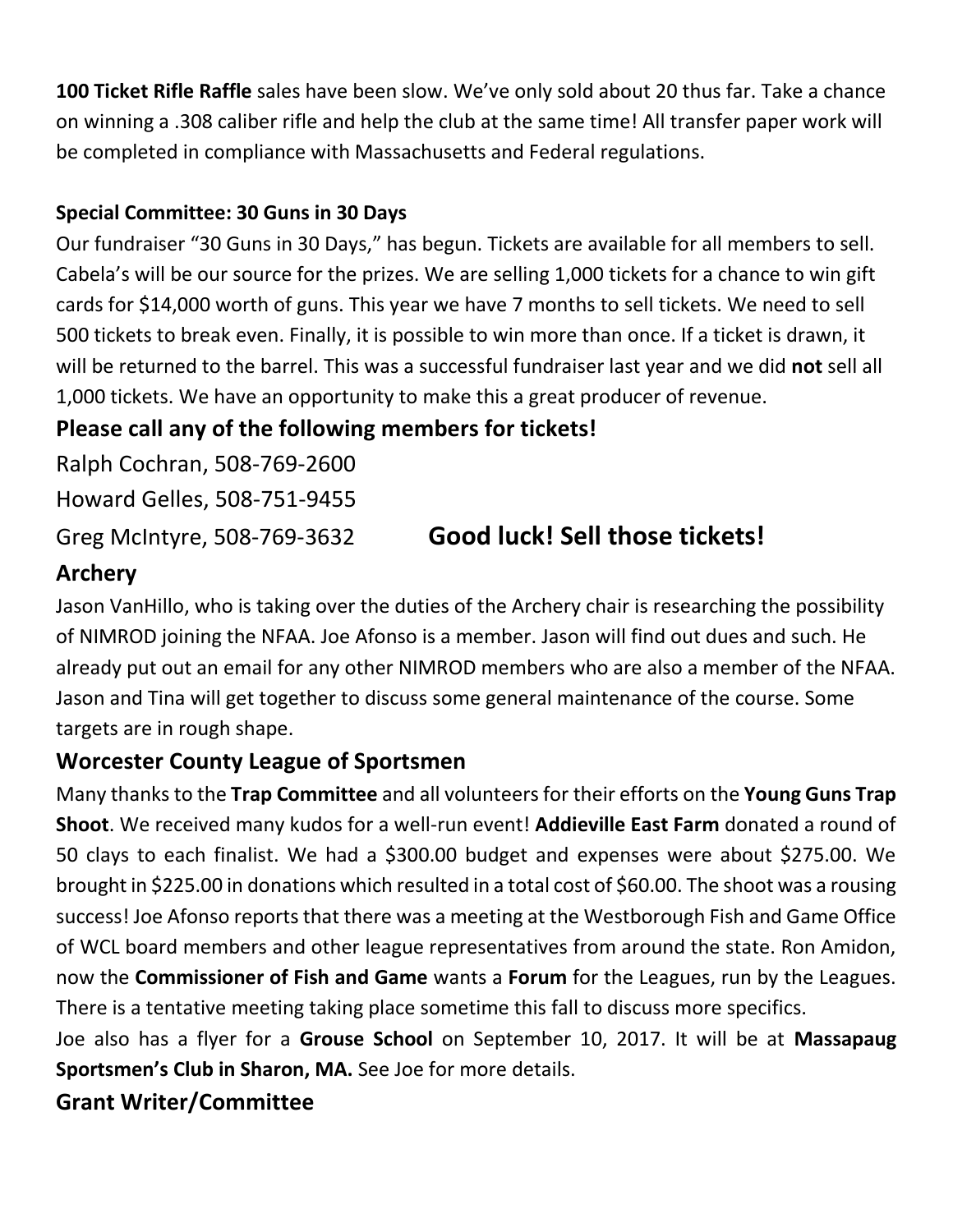**100 Ticket Rifle Raffle** sales have been slow. We've only sold about 20 thus far. Take a chance on winning a .308 caliber rifle and help the club at the same time! All transfer paper work will be completed in compliance with Massachusetts and Federal regulations.

#### **Special Committee: 30 Guns in 30 Days**

Our fundraiser "30 Guns in 30 Days," has begun. Tickets are available for all members to sell. Cabela's will be our source for the prizes. We are selling 1,000 tickets for a chance to win gift cards for \$14,000 worth of guns. This year we have 7 months to sell tickets. We need to sell 500 tickets to break even. Finally, it is possible to win more than once. If a ticket is drawn, it will be returned to the barrel. This was a successful fundraiser last year and we did **not** sell all 1,000 tickets. We have an opportunity to make this a great producer of revenue.

## **Please call any of the following members for tickets!**

Ralph Cochran, 508-769-2600 Howard Gelles, 508-751-9455

# Greg McIntyre, 508-769-3632 **Good luck! Sell those tickets!**

## **Archery**

Jason VanHillo, who is taking over the duties of the Archery chair is researching the possibility of NIMROD joining the NFAA. Joe Afonso is a member. Jason will find out dues and such. He already put out an email for any other NIMROD members who are also a member of the NFAA. Jason and Tina will get together to discuss some general maintenance of the course. Some targets are in rough shape.

### **Worcester County League of Sportsmen**

Many thanks to the **Trap Committee** and all volunteers for their efforts on the **Young Guns Trap Shoot**. We received many kudos for a well-run event! **Addieville East Farm** donated a round of 50 clays to each finalist. We had a \$300.00 budget and expenses were about \$275.00. We brought in \$225.00 in donations which resulted in a total cost of \$60.00. The shoot was a rousing success! Joe Afonso reports that there was a meeting at the Westborough Fish and Game Office of WCL board members and other league representatives from around the state. Ron Amidon, now the **Commissioner of Fish and Game** wants a **Forum** for the Leagues, run by the Leagues. There is a tentative meeting taking place sometime this fall to discuss more specifics.

Joe also has a flyer for a **Grouse School** on September 10, 2017. It will be at **Massapaug Sportsmen's Club in Sharon, MA.** See Joe for more details.

### **Grant Writer/Committee**